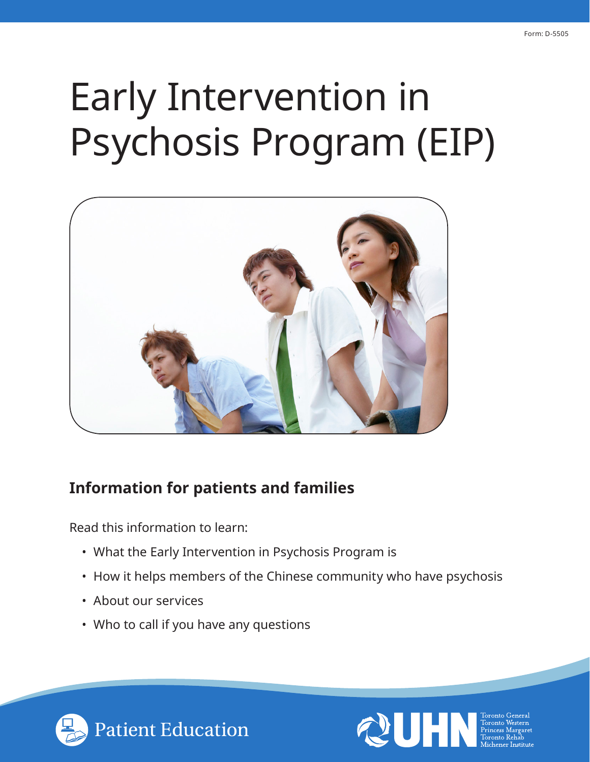# Early Intervention in Psychosis Program (EIP)



## **Information for patients and families**

Read this information to learn:

- What the Early Intervention in Psychosis Program is
- How it helps members of the Chinese community who have psychosis
- About our services
- Who to call if you have any questions



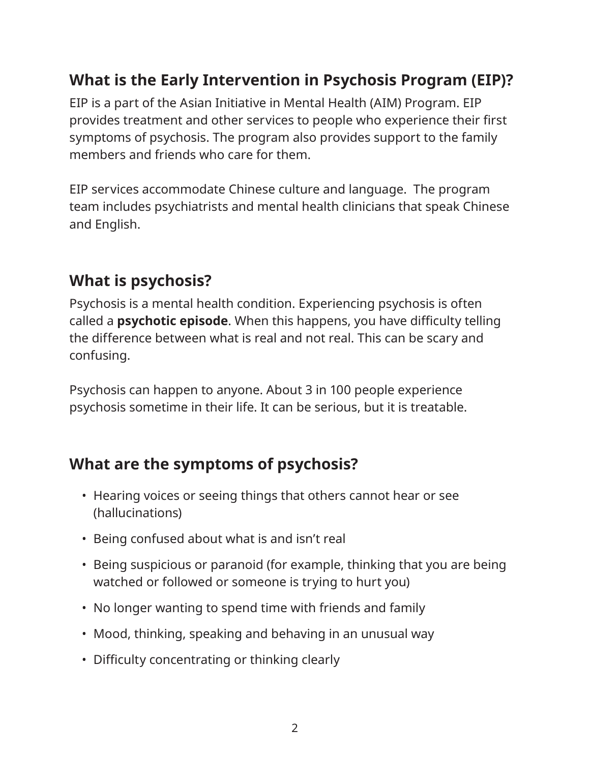## **What is the Early Intervention in Psychosis Program (EIP)?**

EIP is a part of the Asian Initiative in Mental Health (AIM) Program. EIP provides treatment and other services to people who experience their first symptoms of psychosis. The program also provides support to the family members and friends who care for them.

EIP services accommodate Chinese culture and language. The program team includes psychiatrists and mental health clinicians that speak Chinese and English.

# **What is psychosis?**

Psychosis is a mental health condition. Experiencing psychosis is often called a **psychotic episode**. When this happens, you have difficulty telling the difference between what is real and not real. This can be scary and confusing.

Psychosis can happen to anyone. About 3 in 100 people experience psychosis sometime in their life. It can be serious, but it is treatable.

## **What are the symptoms of psychosis?**

- Hearing voices or seeing things that others cannot hear or see (hallucinations)
- Being confused about what is and isn't real
- Being suspicious or paranoid (for example, thinking that you are being watched or followed or someone is trying to hurt you)
- No longer wanting to spend time with friends and family
- Mood, thinking, speaking and behaving in an unusual way
- Difficulty concentrating or thinking clearly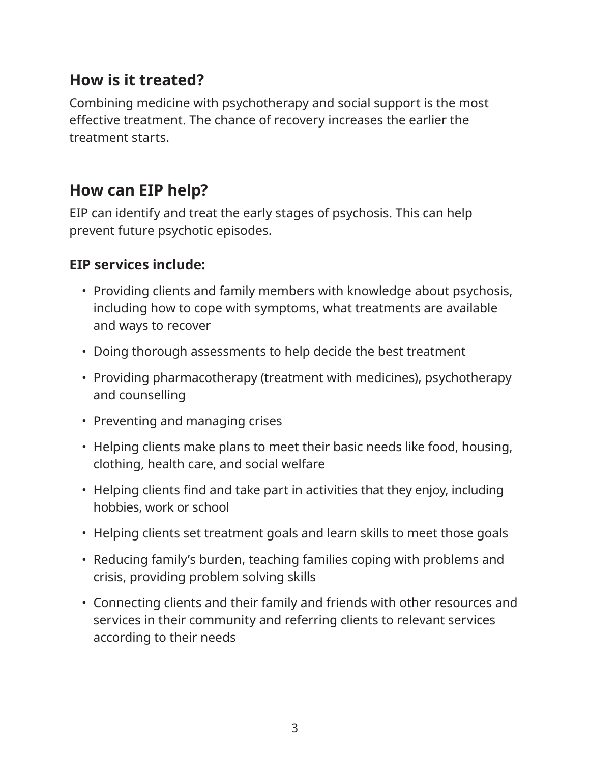## **How is it treated?**

Combining medicine with psychotherapy and social support is the most effective treatment. The chance of recovery increases the earlier the treatment starts.

### **How can EIP help?**

EIP can identify and treat the early stages of psychosis. This can help prevent future psychotic episodes.

#### **EIP services include:**

- Providing clients and family members with knowledge about psychosis, including how to cope with symptoms, what treatments are available and ways to recover
- Doing thorough assessments to help decide the best treatment
- Providing pharmacotherapy (treatment with medicines), psychotherapy and counselling
- Preventing and managing crises
- Helping clients make plans to meet their basic needs like food, housing, clothing, health care, and social welfare
- Helping clients find and take part in activities that they enjoy, including hobbies, work or school
- Helping clients set treatment goals and learn skills to meet those goals
- Reducing family's burden, teaching families coping with problems and crisis, providing problem solving skills
- Connecting clients and their family and friends with other resources and services in their community and referring clients to relevant services according to their needs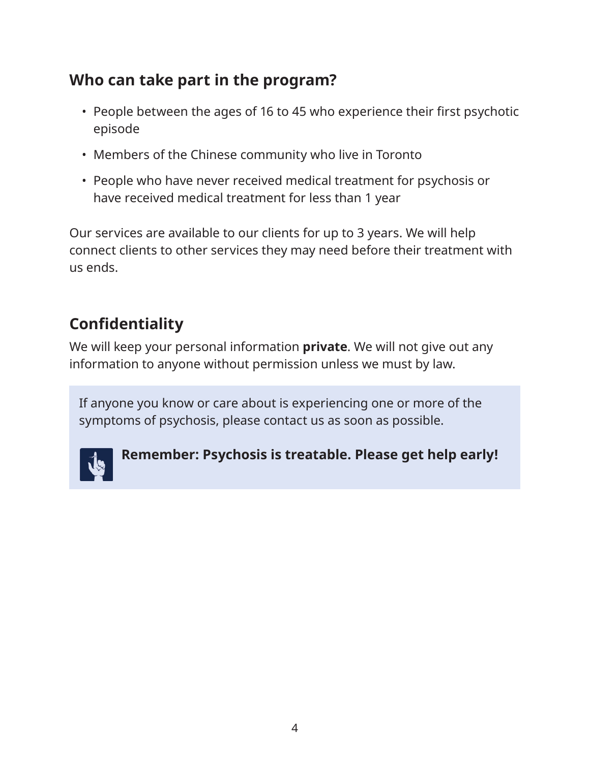# **Who can take part in the program?**

- People between the ages of 16 to 45 who experience their first psychotic episode
- Members of the Chinese community who live in Toronto
- People who have never received medical treatment for psychosis or have received medical treatment for less than 1 year

Our services are available to our clients for up to 3 years. We will help connect clients to other services they may need before their treatment with us ends.

# **Confidentiality**

We will keep your personal information **private**. We will not give out any information to anyone without permission unless we must by law.

If anyone you know or care about is experiencing one or more of the symptoms of psychosis, please contact us as soon as possible.



## **Remember: Psychosis is treatable. Please get help early!**